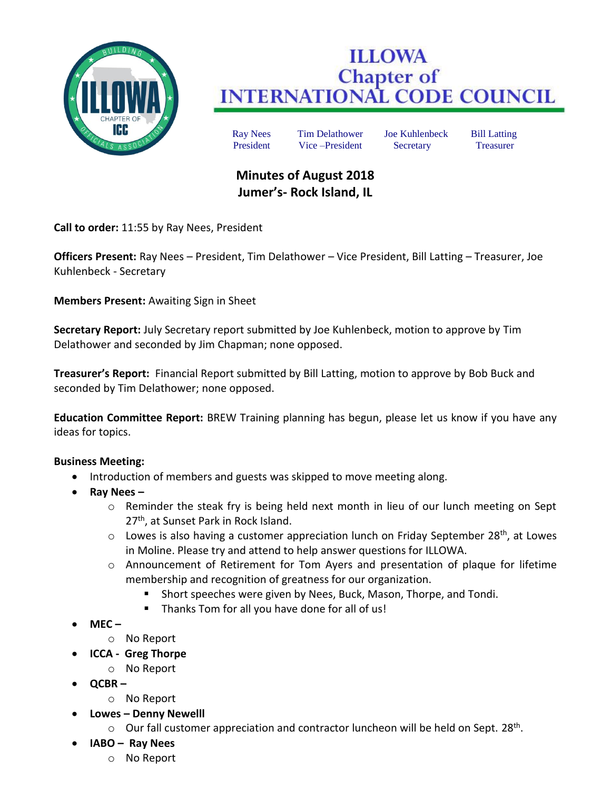

## **ILLOWA Chapter of<br>INTERNATIONAL CODE COUNCIL**

Ray Nees Tim Delathower Joe Kuhlenbeck Bill Latting President Vice –President Secretary Treasurer

## **Minutes of August 2018 Jumer's- Rock Island, IL**

**Call to order:** 11:55 by Ray Nees, President

**Officers Present:** Ray Nees – President, Tim Delathower – Vice President, Bill Latting – Treasurer, Joe Kuhlenbeck - Secretary

**Members Present:** Awaiting Sign in Sheet

**Secretary Report:** July Secretary report submitted by Joe Kuhlenbeck, motion to approve by Tim Delathower and seconded by Jim Chapman; none opposed.

**Treasurer's Report:** Financial Report submitted by Bill Latting, motion to approve by Bob Buck and seconded by Tim Delathower; none opposed.

**Education Committee Report:** BREW Training planning has begun, please let us know if you have any ideas for topics.

## **Business Meeting:**

- Introduction of members and guests was skipped to move meeting along.
- **Ray Nees –**
	- o Reminder the steak fry is being held next month in lieu of our lunch meeting on Sept 27<sup>th</sup>, at Sunset Park in Rock Island.
	- $\circ$  Lowes is also having a customer appreciation lunch on Friday September 28<sup>th</sup>, at Lowes in Moline. Please try and attend to help answer questions for ILLOWA.
	- o Announcement of Retirement for Tom Ayers and presentation of plaque for lifetime membership and recognition of greatness for our organization.
		- Short speeches were given by Nees, Buck, Mason, Thorpe, and Tondi.
		- Thanks Tom for all you have done for all of us!
- **MEC –**
	- o No Report
- **ICCA Greg Thorpe**
	- o No Report
- **QCBR –**
	- o No Report
- **Lowes – Denny Newelll**
	- $\circ$  Our fall customer appreciation and contractor luncheon will be held on Sept. 28<sup>th</sup>.
- **IABO – Ray Nees**
	- o No Report